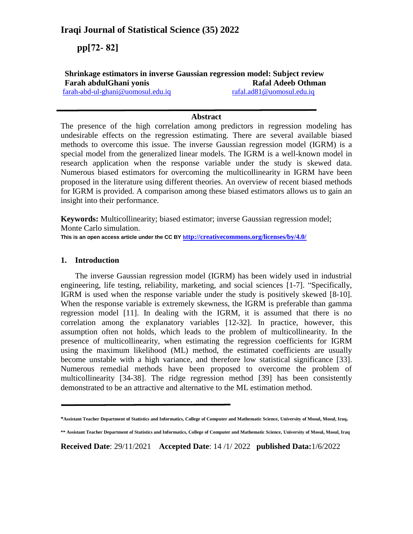# **Iraqi Journal of Statistical Science (35) 2022**

 **pp[27- 27]**

# **Shrinkage estimators in inverse Gaussian regression model: Subject review Farah abdulGhani yonis Rafal Adeeb Othman** [farah-abd-ul-ghani@uomosul.edu.iq](mailto:farah-abd-ul-ghani@uomosul.edu.iq) [rafal.ad81@uomosul.edu.iq](mailto:rafal.ad81@uomosul.edu.iq)

# **Abstract**

The presence of the high correlation among predictors in regression modeling has undesirable effects on the regression estimating. There are several available biased methods to overcome this issue. The inverse Gaussian regression model (IGRM) is a special model from the generalized linear models. The IGRM is a well-known model in research application when the response variable under the study is skewed data. Numerous biased estimators for overcoming the multicollinearity in IGRM have been proposed in the literature using different theories. An overview of recent biased methods for IGRM is provided. A comparison among these biased estimators allows us to gain an insight into their performance.

**Keywords:** Multicollinearity; biased estimator; inverse Gaussian regression model; Monte Carlo simulation.

**This is an open access article under the CC BY h[ttp://creativecommons.org/licenses/by/4.0/](http://creativecommons.org/licenses/by/4.0/)**

# **1. Introduction**

The inverse Gaussian regression model (IGRM) has been widely used in industrial engineering, life testing, reliability, marketing, and social sciences [1-7]. "Specifically, IGRM is used when the response variable under the study is positively skewed [8-10]. When the response variable is extremely skewness, the IGRM is preferable than gamma regression model [11]. In dealing with the IGRM, it is assumed that there is no correlation among the explanatory variables [12-32]. In practice, however, this assumption often not holds, which leads to the problem of multicollinearity. In the presence of multicollinearity, when estimating the regression coefficients for IGRM using the maximum likelihood (ML) method, the estimated coefficients are usually become unstable with a high variance, and therefore low statistical significance [33]. Numerous remedial methods have been proposed to overcome the problem of multicollinearity [34-38]. The ridge regression method [39] has been consistently demonstrated to be an attractive and alternative to the ML estimation method.

**Received Date**: 29/11/2021 **Accepted Date**: 14 /1/ 2022 **published Data:**1/6/2022

**<sup>\*</sup>Assistant Teacher Department of Statistics and Informatics, College of Computer and Mathematic Science, University of Mosul, Mosul, Iraq.**

**<sup>\*\*</sup> Assistant Teacher Department of Statistics and Informatics, College of Computer and Mathematic Science, University of Mosul, Mosul, Iraq**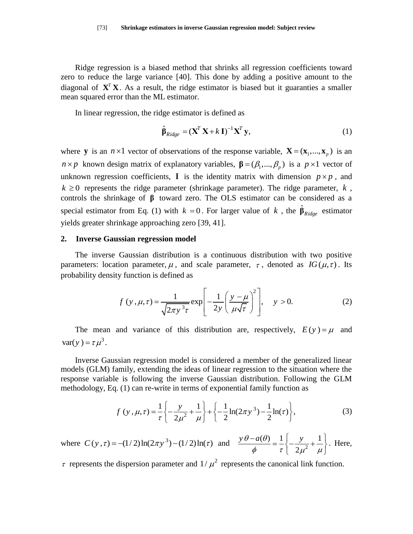Ridge regression is a biased method that shrinks all regression coefficients toward zero to reduce the large variance [40]. This done by adding a positive amount to the diagonal of  $X^T X$ . As a result, the ridge estimator is biased but it guaranties a smaller mean squared error than the ML estimator.

In linear regression, the ridge estimator is defined as

$$
\hat{\boldsymbol{\beta}}_{Ridge} = (\mathbf{X}^T \mathbf{X} + k \mathbf{I})^{-1} \mathbf{X}^T \mathbf{y},
$$
\n(1)

where **y** is an  $n \times 1$  vector of observations of the response variable,  $\mathbf{X} = (\mathbf{x}_1, ..., \mathbf{x}_p)$  is an  $n \times p$  known design matrix of explanatory variables,  $\beta = (\beta_1, ..., \beta_p)$  is a  $p \times 1$  vector of unknown regression coefficients, **I** is the identity matrix with dimension  $p \times p$ , and  $k \geq 0$  represents the ridge parameter (shrinkage parameter). The ridge parameter,  $k$ , controls the shrinkage of **β** toward zero. The OLS estimator can be considered as a special estimator from Eq. (1) with  $k = 0$ . For larger value of k, the  $\hat{\beta}_{Ridge}$  estimator yields greater shrinkage approaching zero [39, 41].

#### **2. Inverse Gaussian regression model**

The inverse Gaussian distribution is a continuous distribution with two positive parameters: location parameter,  $\mu$ , and scale parameter,  $\tau$ , denoted as  $IG(\mu, \tau)$ . Its probability density function is defined as

y function is defined as  
\n
$$
f(y, \mu, \tau) = \frac{1}{\sqrt{2\pi y^3 \tau}} \exp\left[-\frac{1}{2y} \left(\frac{y - \mu}{\mu \sqrt{\tau}}\right)^2\right], \quad y > 0.
$$
\n(2)

The mean and variance of this distribution are, respectively,  $E(y) = \mu$  and  $var(y) = \tau \mu^3$ .

Inverse Gaussian regression model is considered a member of the generalized linear models (GLM) family, extending the ideas of linear regression to the situation where the response variable is following the inverse Gaussian distribution. Following the GLM

methodology, Eq. (1) can re-write in terms of exponential family function as  
\n
$$
f(y, \mu, \tau) = \frac{1}{\tau} \left\{ -\frac{y}{2\mu^2} + \frac{1}{\mu} \right\} + \left\{ -\frac{1}{2} \ln(2\pi y^3) - \frac{1}{2} \ln(\tau) \right\},
$$
\n(3)

where  $C(y, \tau) = -(1/2)\ln(2\pi y^3) - (1/2)\ln(\tau)$  and  $\frac{y \theta - a(\theta)}{d} = \frac{1}{\tau} \left\{-\frac{y}{2a^2}\right\}$  $(\theta)$   $-1$   $\int$   $y$   $+1$ 2  $y \theta - a(\theta) = 1 \int y$  $\frac{\partial}{\partial \phi} = \frac{1}{\tau} \left\{ -\frac{y}{2\mu^2} + \frac{1}{\mu} \right\}.$  $-a(\theta)$   $1 \begin{bmatrix} y & 1 \end{bmatrix}$  $=\frac{1}{\tau}\left\{-\frac{y}{2\mu^2}+\frac{1}{\mu}\right\}.$  H . Here,

 $\tau$  represents the dispersion parameter and  $1/\mu^2$  represents the canonical link function.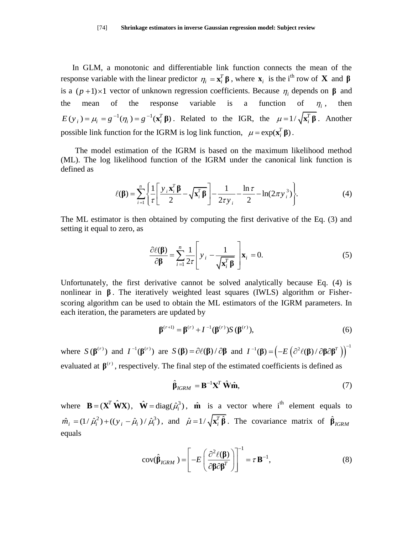In GLM, a monotonic and differentiable link function connects the mean of the response variable with the linear predictor  $\eta_i = \mathbf{x}_i^T \boldsymbol{\beta}$ , where  $\mathbf{x}_i$  is the i<sup>th</sup> row of **X** and  $\boldsymbol{\beta}$ is a  $(p+1) \times 1$  vector of unknown regression coefficients. Because  $\eta_i$  depends on  $\beta$  and the mean of the response variable is a function of  $\eta_i$ , , then  $E(y_i) = \mu_i = g^{-1}(\eta_i) = g^{-1}(\mathbf{x}_i^T \boldsymbol{\beta})$ . Related to the IGR, the  $\mu = 1/\sqrt{\mathbf{x}_i^T \boldsymbol{\beta}}$ . Another possible link function for the IGRM is log link function,  $\mu = \exp(\mathbf{x}_i^T \boldsymbol{\beta})$ .

The model estimation of the IGRM is based on the maximum likelihood method (ML). The log likelihood function of the IGRM under the canonical link function is defined as

$$
\ell(\mathbf{\beta}) = \sum_{i=1}^{n} \left\{ \frac{1}{\tau} \left[ \frac{y_i \mathbf{x}_i^T \mathbf{\beta}}{2} - \sqrt{\mathbf{x}_i^T \mathbf{\beta}} \right] - \frac{1}{2\tau y_i} - \frac{\ln \tau}{2} - \ln(2\pi y_i^3) \right\}.
$$
 (4)

The ML estimator is then obtained by computing the first derivative of the Eq. (3) and setting it equal to zero, as

$$
\frac{\partial \ell(\mathbf{\beta})}{\partial \mathbf{\beta}} = \sum_{i=1}^{n} \frac{1}{2\tau} \left[ y_i - \frac{1}{\sqrt{\mathbf{x}_i^T \mathbf{\beta}}} \right] \mathbf{x}_i = 0.
$$
 (5)

Unfortunately, the first derivative cannot be solved analytically because Eq. (4) is nonlinear in **β** . The iteratively weighted least squares (IWLS) algorithm or Fisherscoring algorithm can be used to obtain the ML estimators of the IGRM parameters. In each iteration, the parameters are updated by

$$
\beta^{(r+1)} = \beta^{(r)} + I^{-1}(\beta^{(r)})S(\beta^{(r)}),
$$
\n(6)

where  $S(\beta^{(r)})$  and  $I^{-1}(\beta^{(r)})$  are  $S(\beta) = \partial \ell(\beta) / \partial \beta$  and  $I^{-1}(\beta) = \left(-E(\partial^2 \ell(\beta) / \partial \beta \partial \beta^T)\right)^{-1}$ **β**) =  $(-E(\partial^2 \ell(\beta)/\partial \beta \partial \beta^T))$ <sup>-</sup>

evaluated at  $\beta^{(r)}$ , respectively. The final step of the estimated coefficients is defined as

$$
\hat{\beta}_{IGRM} = \mathbf{B}^{-1} \mathbf{X}^T \hat{\mathbf{W}} \hat{\mathbf{m}},\tag{7}
$$

where  $\mathbf{B} = (\mathbf{X}^T \hat{\mathbf{W}} \mathbf{X})$ ,  $\hat{\mathbf{W}} = \text{diag}(\hat{\mu}_i^3)$ ,  $\hat{\mathbf{m}}$  is a vector where i<sup>th</sup> element equals to  $\hat{m}_i = (1/\hat{\mu}_i^2) + ((y_i - \hat{\mu}_i)/\hat{\mu}_i^3)$ , and  $\hat{\mu} = 1/\sqrt{\mathbf{x}_i^T \hat{\beta}}$ . The covariance matrix of  $\hat{\beta}_{IGRM}$ equals

$$
cov(\hat{\beta}_{IGRM}) = \left[ -E \left( \frac{\partial^2 \ell(\beta)}{\partial \beta \partial \beta^T} \right) \right]^{-1} = \tau \mathbf{B}^{-1},
$$
\n(8)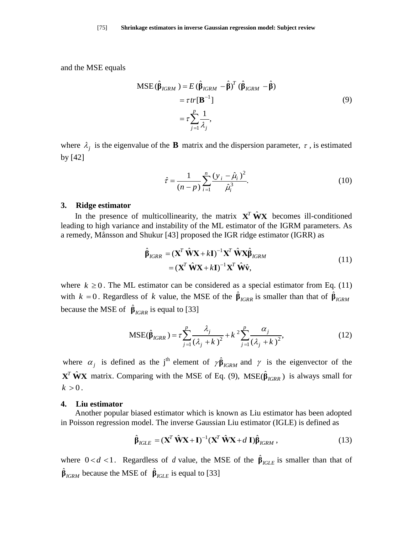and the MSE equals

$$
MSE(\hat{\beta}_{IGRM}) = E(\hat{\beta}_{IGRM} - \hat{\beta})^T (\hat{\beta}_{IGRM} - \hat{\beta})
$$
  
=  $\tau tr[\mathbf{B}^{-1}]$   
=  $\tau \sum_{j=1}^p \frac{1}{\lambda_j}$ , (9)

where  $\lambda_j$  is the eigenvalue of the **B** matrix and the dispersion parameter,  $\tau$ , is estimated by [42]

$$
\hat{\tau} = \frac{1}{(n-p)} \sum_{i=1}^{n} \frac{(y_i - \hat{\mu}_i)^2}{\hat{\mu}_i^3}.
$$
 (10)

## **3. Ridge estimator**

In the presence of multicollinearity, the matrix  $X^T \hat{W} X$  becomes ill-conditioned leading to high variance and instability of the ML estimator of the IGRM parameters. As a remedy, Månsson and Shukur [43] proposed the IGR ridge estimator (IGRR) as

$$
\hat{\beta}_{IGRR} = (\mathbf{X}^T \hat{\mathbf{W}} \mathbf{X} + k\mathbf{I})^{-1} \mathbf{X}^T \hat{\mathbf{W}} \mathbf{X} \hat{\beta}_{IGRM}
$$
\n
$$
= (\mathbf{X}^T \hat{\mathbf{W}} \mathbf{X} + k\mathbf{I})^{-1} \mathbf{X}^T \hat{\mathbf{W}} \hat{\mathbf{v}},
$$
\n(11)

where  $k \ge 0$ . The ML estimator can be considered as a special estimator from Eq. (11) with  $k = 0$ . Regardless of k value, the MSE of the  $\hat{\beta}_{IGRR}$  is smaller than that of  $\hat{\beta}_{IGRM}$ because the MSE of  $\hat{\beta}_{IGRR}$  is equal to [33]

$$
\beta_{IGRR} \text{ is equal to } [33]
$$
  
\n
$$
\text{MSE}(\hat{\beta}_{IGRR}) = \tau \sum_{j=1}^{p} \frac{\lambda_j}{(\lambda_j + k)^2} + k^2 \sum_{j=1}^{p} \frac{\alpha_j}{(\lambda_j + k)^2},
$$
\n(12)

where  $\alpha_j$  is defined as the j<sup>th</sup> element of  $\gamma \hat{\beta}_{IGRM}$  and  $\gamma$  is the eigenvector of the **X<sup>T</sup>**  $\hat{\mathbf{W}}$ **X** matrix. Comparing with the MSE of Eq. (9), MSE( $\hat{\boldsymbol{\beta}}_{IGRR}$ ) is always small for  $k > 0$ .

#### **4. Liu estimator**

Another popular biased estimator which is known as Liu estimator has been adopted

in Poisson regression model. The inverse Gaussian Liu estimator (IGLE) is defined as  
\n
$$
\hat{\mathbf{B}}_{IGLE} = (\mathbf{X}^T \hat{\mathbf{W}} \mathbf{X} + \mathbf{I})^{-1} (\mathbf{X}^T \hat{\mathbf{W}} \mathbf{X} + d \mathbf{I}) \hat{\mathbf{B}}_{IGRM},
$$
\n(13)

where  $0 < d < 1$ . Regardless of d value, the MSE of the  $\hat{\beta}_{IGLE}$  is smaller than that of  $\hat{\beta}_{IGRM}$  because the MSE of  $\hat{\beta}_{IGLE}$  is equal to [33]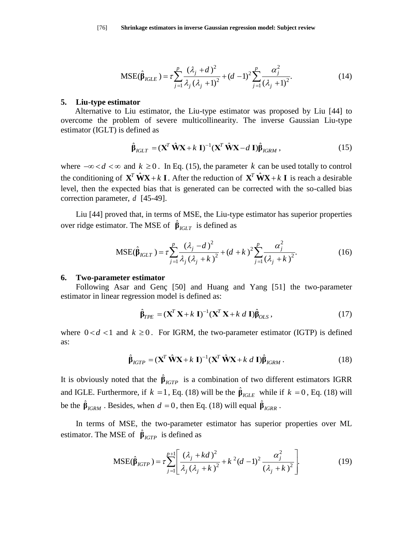$$
MSE(\hat{\beta}_{IGLE}) = \tau \sum_{j=1}^{p} \frac{(\lambda_j + d)^2}{\lambda_j (\lambda_j + 1)^2} + (d - 1)^2 \sum_{j=1}^{p} \frac{\alpha_j^2}{(\lambda_j + 1)^2}.
$$
 (14)

#### **5. Liu-type estimator**

Alternative to Liu estimator, the Liu-type estimator was proposed by Liu [44] to overcome the problem of severe multicollinearity. The inverse Gaussian Liu-type estimator (IGLT) is defined as

$$
\hat{\mathbf{\beta}}_{IGLT} = (\mathbf{X}^T \hat{\mathbf{W}} \mathbf{X} + k \mathbf{I})^{-1} (\mathbf{X}^T \hat{\mathbf{W}} \mathbf{X} - d \mathbf{I}) \hat{\mathbf{\beta}}_{IGRM},
$$
\n(15)

where  $-\infty < d < \infty$  and  $k \ge 0$ . In Eq. (15), the parameter k can be used totally to control the conditioning of  $X^T \hat{W} X + k I$ . After the reduction of  $X^T \hat{W} X + k I$  is reach a desirable level, then the expected bias that is generated can be corrected with the so-called bias correction parameter, *d* [45-49].

Liu [44] proved that, in terms of MSE, the Liu-type estimator has superior properties

over ridge estimator. The MSE of 
$$
\hat{\beta}_{IGLT}
$$
 is defined as  
\n
$$
MSE(\hat{\beta}_{IGLT}) = \tau \sum_{j=1}^{p} \frac{(\lambda_j - d)^2}{\lambda_j (\lambda_j + k)^2} + (d + k)^2 \sum_{j=1}^{p} \frac{\alpha_j^2}{(\lambda_j + k)^2}.
$$
\n(16)

## **6. Two-parameter estimator**

Following Asar and Genç [50] and Huang and Yang [51] the two-parameter estimator in linear regression model is defined as:<br> $\hat{\beta}_{TPE} = (\mathbf{X}^T \mathbf{X} + k \mathbf{I})^{-1} (\mathbf{X}^T \mathbf{X} + k \ d \mathbf{I}) \hat{\beta}_{OLS},$ 

$$
\hat{\beta}_{TPE} = (\mathbf{X}^T \mathbf{X} + k \mathbf{I})^{-1} (\mathbf{X}^T \mathbf{X} + k \ d \mathbf{I}) \hat{\beta}_{OLS},
$$
\n(17)

where  $0 < d < 1$  and  $k \ge 0$ . For IGRM, the two-parameter estimator (IGTP) is defined as:

$$
\hat{\mathbf{p}}_{IGTP} = (\mathbf{X}^T \hat{\mathbf{W}} \mathbf{X} + k \mathbf{I})^{-1} (\mathbf{X}^T \hat{\mathbf{W}} \mathbf{X} + k \ d \mathbf{I}) \hat{\mathbf{p}}_{IGRM}.
$$
\n(18)

It is obviously noted that the  $\hat{\beta}_{IGTP}$  is a combination of two different estimators IGRR and IGLE. Furthermore, if  $k = 1$ , Eq. (18) will be the  $\hat{\beta}_{IGLE}$  while if  $k = 0$ , Eq. (18) will be the  $\hat{\beta}_{IGRM}$ . Besides, when  $d = 0$ , then Eq. (18) will equal  $\hat{\beta}_{IGRR}$ .

In terms of MSE, the two-parameter estimator has superior properties over ML estimator. The MSE of  $\hat{\beta}_{IGTP}$  is defined as<br>  $MSE(\hat{\beta}_{IGTP}) = \tau \sum_{i=1}^{p+1} \left[ \frac{(\lambda_j + kd)}{(\lambda_j + kd)} \right]$ 

$$
\text{MSE of } \hat{\beta}_{IGTP} \text{ is defined as}
$$
\n
$$
\text{MSE}(\hat{\beta}_{IGTP}) = \tau \sum_{j=1}^{p+1} \left[ \frac{(\lambda_j + kd)^2}{\lambda_j (\lambda_j + k)^2} + k^2 (d-1)^2 \frac{\alpha_j^2}{(\lambda_j + k)^2} \right].
$$
\n(19)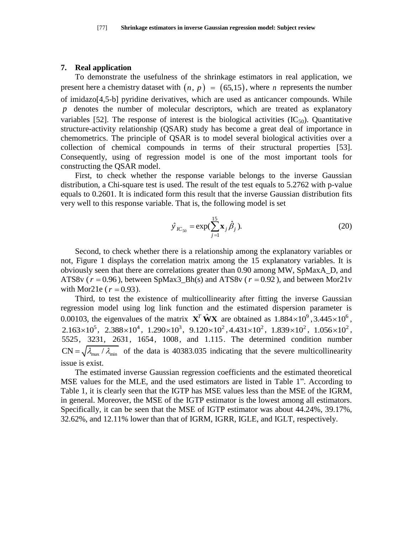#### **7. Real application**

To demonstrate the usefulness of the shrinkage estimators in real application, we present here a chemistry dataset with  $(n, p) = (65, 15)$ , where *n* represents the number of imidazo[4,5-b] pyridine derivatives, which are used as anticancer compounds. While *p* denotes the number of molecular descriptors, which are treated as explanatory variables [52]. The response of interest is the biological activities  $(IC_{50})$ . Quantitative structure-activity relationship (QSAR) study has become a great deal of importance in chemometrics. The principle of QSAR is to model several biological activities over a collection of chemical compounds in terms of their structural properties [53]. Consequently, using of regression model is one of the most important tools for constructing the QSAR model.

First, to check whether the response variable belongs to the inverse Gaussian distribution, a Chi-square test is used. The result of the test equals to 5.2762 with p-value equals to 0.2601. It is indicated form this result that the inverse Gaussian distribution fits very well to this response variable. That is, the following model is set

$$
\hat{y}_{IC_{50}} = \exp(\sum_{j=1}^{15} \mathbf{x}_j \hat{\beta}_j). \tag{20}
$$

Second, to check whether there is a relationship among the explanatory variables or not, Figure 1 displays the correlation matrix among the 15 explanatory variables. It is obviously seen that there are correlations greater than 0.90 among MW, SpMaxA\_D, and ATS8v ( $r = 0.96$ ), between SpMax3\_Bh(s) and ATS8v ( $r = 0.92$ ), and between Mor21v with Mor21e ( $r = 0.93$ ).

Third, to test the existence of multicollinearity after fitting the inverse Gaussian regression model using log link function and the estimated dispersion parameter is 0.00103, the eigenvalues of the matrix  $\mathbf{X}^T \hat{\mathbf{W}} \mathbf{X}$  are obtained as  $1.884 \times 10^9$ ,  $3.445 \times 10^6$ ,  $2.163 \times 10^5$ ,  $2.388 \times 10^4$ ,  $1.290 \times 10^3$ ,  $9.120 \times 10^2$ ,  $4.431 \times 10^2$ ,  $1.839 \times 10^2$ ,  $1.056 \times 10^2$ , 5525, 3231, 2631, 1654, 1008 , and 1.115 . The determined condition number  $CN = \sqrt{\lambda_{\text{max}}/\lambda_{\text{min}}}$  of the data is 40383.035 indicating that the severe multicollinearity issue is exist.

The estimated inverse Gaussian regression coefficients and the estimated theoretical MSE values for the MLE, and the used estimators are listed in Table 1". According to Table 1, it is clearly seen that the IGTP has MSE values less than the MSE of the IGRM, in general. Moreover, the MSE of the IGTP estimator is the lowest among all estimators. Specifically, it can be seen that the MSE of IGTP estimator was about 44.24%, 39.17%, 32.62%, and 12.11% lower than that of IGRM, IGRR, IGLE, and IGLT, respectively.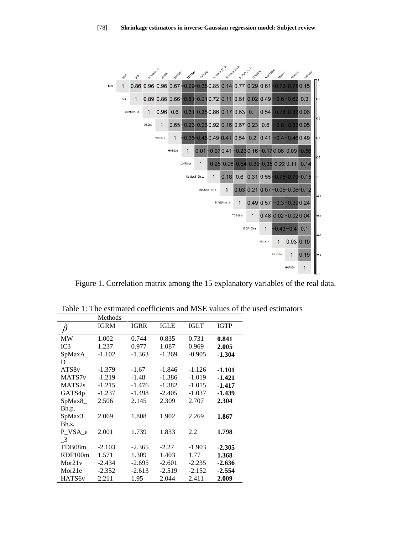

Figure 1. Correlation matrix among the 15 explanatory variables of the real data.

Table 1: The estimated coefficients and MSE values of the used estimators

|                            | Methods     |             |             |             |             |
|----------------------------|-------------|-------------|-------------|-------------|-------------|
| Λ<br>$\beta$               | <b>IGRM</b> | <b>IGRR</b> | <b>IGLE</b> | <b>IGLT</b> | <b>IGTP</b> |
| <b>MW</b>                  | 1.002       | 0.744       | 0.835       | 0.731       | 0.841       |
| IC3                        | 1.237       | 0.977       | 1.087       | 0.969       | 2.005       |
| SpMaxA                     | $-1.102$    | $-1.363$    | $-1.269$    | $-0.905$    | $-1.304$    |
| D                          |             |             |             |             |             |
| ATS8 <sub>v</sub>          | $-1.379$    | $-1.67$     | $-1.846$    | $-1.126$    | $-1.101$    |
| MATS7 <sub>v</sub>         | $-1.219$    | $-1.48$     | $-1.386$    | $-1.019$    | $-1.421$    |
| MATS <sub>2s</sub>         | $-1.215$    | $-1.476$    | $-1.382$    | $-1.015$    | -1.417      |
| GATS4p                     | $-1.237$    | $-1.498$    | $-2.405$    | $-1.037$    | $-1.439$    |
| SpMax8_                    | 2.506       | 2.145       | 2.309       | 2.707       | 2.304       |
| Bh.p.                      |             |             |             |             |             |
| SpMax3_                    | 2.069       | 1.808       | 1.902       | 2.269       | 1.867       |
| Bh.s.                      |             |             |             |             |             |
| P VSA e                    | 2.001       | 1.739       | 1.833       | 2.2         | 1.798       |
| $\overline{\phantom{0}}^3$ |             |             |             |             |             |
| TDB08m                     | $-2.103$    | $-2.365$    | $-2.27$     | $-1.903$    | $-2.305$    |
| RDF100m                    | 1.571       | 1.309       | 1.403       | 1.77        | 1.368       |
| Mor21v                     | $-2.434$    | $-2.695$    | $-2.601$    | $-2.235$    | $-2.636$    |
| Mor21e                     | $-2.352$    | $-2.613$    | $-2.519$    | $-2.152$    | $-2.554$    |
| HATS6v                     | 2.211       | 1.95        | 2.044       | 2.411       | 2.009       |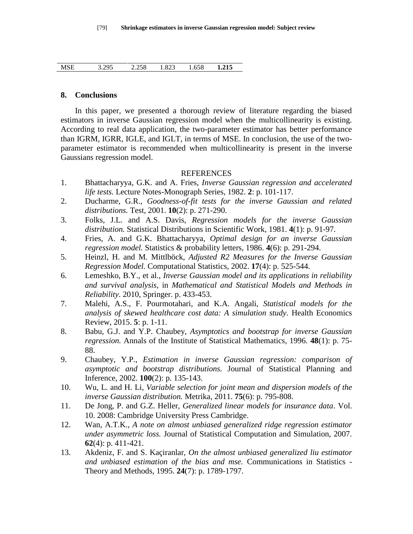| <b>MSE</b> | 3.295 | 2.258 | .823 | .658 | 1.215 |  |
|------------|-------|-------|------|------|-------|--|
|            |       |       |      |      |       |  |

## **8. Conclusions**

In this paper, we presented a thorough review of literature regarding the biased estimators in inverse Gaussian regression model when the multicollinearity is existing. According to real data application, the two-parameter estimator has better performance than IGRM, IGRR, IGLE, and IGLT, in terms of MSE. In conclusion, the use of the twoparameter estimator is recommended when multicollinearity is present in the inverse Gaussians regression model.

## REFERENCES

- 1. Bhattacharyya, G.K. and A. Fries, *Inverse Gaussian regression and accelerated life tests.* Lecture Notes-Monograph Series, 1982. **2**: p. 101-117.
- 2. Ducharme, G.R., *Goodness-of-fit tests for the inverse Gaussian and related distributions.* Test, 2001. **10**(2): p. 271-290.
- 3. Folks, J.L. and A.S. Davis, *Regression models for the inverse Gaussian distribution.* Statistical Distributions in Scientific Work, 1981. **4**(1): p. 91-97.
- 4. Fries, A. and G.K. Bhattacharyya, *Optimal design for an inverse Gaussian regression model.* Statistics & probability letters, 1986. **4**(6): p. 291-294.
- 5. Heinzl, H. and M. Mittlböck, *Adjusted R2 Measures for the Inverse Gaussian Regression Model.* Computational Statistics, 2002. **17**(4): p. 525-544.
- 6. Lemeshko, B.Y., et al., *Inverse Gaussian model and its applications in reliability and survival analysis*, in *Mathematical and Statistical Models and Methods in Reliability*. 2010, Springer. p. 433-453.
- 7. Malehi, A.S., F. Pourmotahari, and K.A. Angali, *Statistical models for the analysis of skewed healthcare cost data: A simulation study.* Health Economics Review, 2015. **5**: p. 1-11.
- 8. Babu, G.J. and Y.P. Chaubey, *Asymptotics and bootstrap for inverse Gaussian regression.* Annals of the Institute of Statistical Mathematics, 1996. **48**(1): p. 75- 88.
- 9. Chaubey, Y.P., *Estimation in inverse Gaussian regression: comparison of asymptotic and bootstrap distributions.* Journal of Statistical Planning and Inference, 2002. **100**(2): p. 135-143.
- 10. Wu, L. and H. Li, *Variable selection for joint mean and dispersion models of the inverse Gaussian distribution.* Metrika, 2011. **75**(6): p. 795-808.
- 11. De Jong, P. and G.Z. Heller, *Generalized linear models for insurance data*. Vol. 10. 2008: Cambridge University Press Cambridge.
- 12. Wan, A.T.K., *A note on almost unbiased generalized ridge regression estimator under asymmetric loss.* Journal of Statistical Computation and Simulation, 2007. **62**(4): p. 411-421.
- 13. Akdeniz, F. and S. Kaçiranlar, *On the almost unbiased generalized liu estimator and unbiased estimation of the bias and mse.* Communications in Statistics - Theory and Methods, 1995. **24**(7): p. 1789-1797.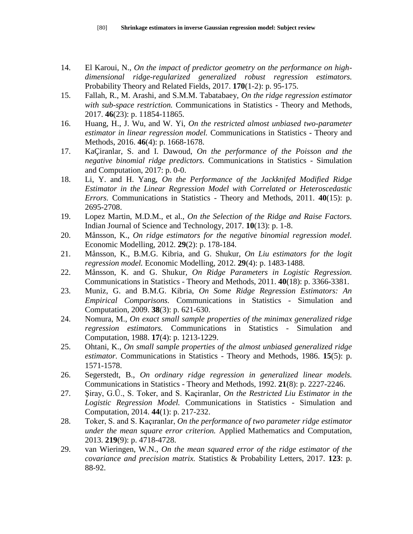- 14. El Karoui, N., *On the impact of predictor geometry on the performance on highdimensional ridge-regularized generalized robust regression estimators.* Probability Theory and Related Fields, 2017. **170**(1-2): p. 95-175.
- 15. Fallah, R., M. Arashi, and S.M.M. Tabatabaey, *On the ridge regression estimator with sub-space restriction.* Communications in Statistics - Theory and Methods, 2017. **46**(23): p. 11854-11865.
- 16. Huang, H., J. Wu, and W. Yi, *On the restricted almost unbiased two-parameter estimator in linear regression model.* Communications in Statistics - Theory and Methods, 2016. **46**(4): p. 1668-1678.
- 17. KaÇiranlar, S. and I. Dawoud, *On the performance of the Poisson and the negative binomial ridge predictors.* Communications in Statistics - Simulation and Computation, 2017: p. 0-0.
- 18. Li, Y. and H. Yang, *On the Performance of the Jackknifed Modified Ridge Estimator in the Linear Regression Model with Correlated or Heteroscedastic Errors.* Communications in Statistics - Theory and Methods, 2011. **40**(15): p. 2695-2708.
- 19. Lopez Martin, M.D.M., et al., *On the Selection of the Ridge and Raise Factors.* Indian Journal of Science and Technology, 2017. **10**(13): p. 1-8.
- 20. Månsson, K., *On ridge estimators for the negative binomial regression model.* Economic Modelling, 2012. **29**(2): p. 178-184.
- 21. Månsson, K., B.M.G. Kibria, and G. Shukur, *On Liu estimators for the logit regression model.* Economic Modelling, 2012. **29**(4): p. 1483-1488.
- 22. Månsson, K. and G. Shukur, *On Ridge Parameters in Logistic Regression.* Communications in Statistics - Theory and Methods, 2011. **40**(18): p. 3366-3381.
- 23. Muniz, G. and B.M.G. Kibria, *On Some Ridge Regression Estimators: An Empirical Comparisons.* Communications in Statistics - Simulation and Computation, 2009. **38**(3): p. 621-630.
- 24. Nomura, M., *On exact small sample properties of the minimax generalized ridge regression estimators.* Communications in Statistics - Simulation and Computation, 1988. **17**(4): p. 1213-1229.
- 25. Ohtani, K., *On small sample properties of the almost unbiased generalized ridge estimator.* Communications in Statistics - Theory and Methods, 1986. **15**(5): p. 1571-1578.
- 26. Segerstedt, B., *On ordinary ridge regression in generalized linear models.* Communications in Statistics - Theory and Methods, 1992. **21**(8): p. 2227-2246.
- 27. Şiray, G.Ü., S. Toker, and S. Kaçiranlar, *On the Restricted Liu Estimator in the Logistic Regression Model.* Communications in Statistics - Simulation and Computation, 2014. **44**(1): p. 217-232.
- 28. Toker, S. and S. Kaçıranlar, *On the performance of two parameter ridge estimator under the mean square error criterion.* Applied Mathematics and Computation, 2013. **219**(9): p. 4718-4728.
- 29. van Wieringen, W.N., *On the mean squared error of the ridge estimator of the covariance and precision matrix.* Statistics & Probability Letters, 2017. **123**: p. 88-92.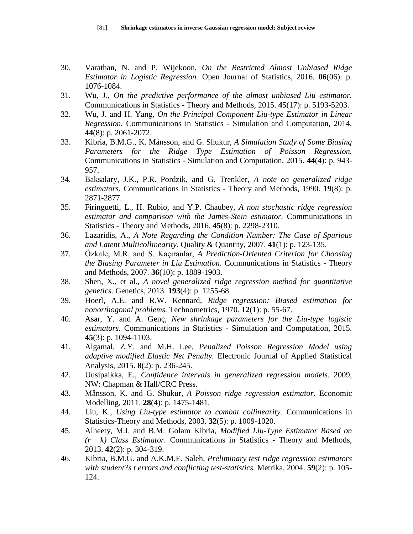- 30. Varathan, N. and P. Wijekoon, *On the Restricted Almost Unbiased Ridge Estimator in Logistic Regression.* Open Journal of Statistics, 2016. **06**(06): p. 1076-1084.
- 31. Wu, J., *On the predictive performance of the almost unbiased Liu estimator.* Communications in Statistics - Theory and Methods, 2015. **45**(17): p. 5193-5203.
- 32. Wu, J. and H. Yang, *On the Principal Component Liu-type Estimator in Linear Regression.* Communications in Statistics - Simulation and Computation, 2014. **44**(8): p. 2061-2072.
- 33. Kibria, B.M.G., K. Månsson, and G. Shukur, *A Simulation Study of Some Biasing Parameters for the Ridge Type Estimation of Poisson Regression.* Communications in Statistics - Simulation and Computation, 2015. **44**(4): p. 943- 957.
- 34. Baksalary, J.K., P.R. Pordzik, and G. Trenkler, *A note on generalized ridge estimators.* Communications in Statistics - Theory and Methods, 1990. **19**(8): p. 2871-2877.
- 35. Firinguetti, L., H. Rubio, and Y.P. Chaubey, *A non stochastic ridge regression estimator and comparison with the James-Stein estimator.* Communications in Statistics - Theory and Methods, 2016. **45**(8): p. 2298-2310.
- 36. Lazaridis, A., *A Note Regarding the Condition Number: The Case of Spurious and Latent Multicollinearity.* Quality & Quantity, 2007. **41**(1): p. 123-135.
- 37. Özkale, M.R. and S. Kaçıranlar, *A Prediction-Oriented Criterion for Choosing the Biasing Parameter in Liu Estimation.* Communications in Statistics - Theory and Methods, 2007. **36**(10): p. 1889-1903.
- 38. Shen, X., et al., *A novel generalized ridge regression method for quantitative genetics.* Genetics, 2013. **193**(4): p. 1255-68.
- 39. Hoerl, A.E. and R.W. Kennard, *Ridge regression: Biased estimation for nonorthogonal problems.* Technometrics, 1970. **12**(1): p. 55-67.
- 40. Asar, Y. and A. Genç, *New shrinkage parameters for the Liu-type logistic estimators.* Communications in Statistics - Simulation and Computation, 2015. **45**(3): p. 1094-1103.
- 41. Algamal, Z.Y. and M.H. Lee, *Penalized Poisson Regression Model using adaptive modified Elastic Net Penalty.* Electronic Journal of Applied Statistical Analysis, 2015. **8**(2): p. 236-245.
- 42. Uusipaikka, E., *Confidence intervals in generalized regression models*. 2009, NW: Chapman & Hall/CRC Press.
- 43. Månsson, K. and G. Shukur, *A Poisson ridge regression estimator.* Economic Modelling, 2011. **28**(4): p. 1475-1481.
- 44. Liu, K., *Using Liu-type estimator to combat collinearity.* Communications in Statistics-Theory and Methods, 2003. **32**(5): p. 1009-1020.
- 45. Alheety, M.I. and B.M. Golam Kibria, *Modified Liu-Type Estimator Based on (r − k) Class Estimator.* Communications in Statistics - Theory and Methods, 2013. **42**(2): p. 304-319.
- 46. Kibria, B.M.G. and A.K.M.E. Saleh, *Preliminary test ridge regression estimators with student?s t errors and conflicting test-statistics.* Metrika, 2004. **59**(2): p. 105- 124.